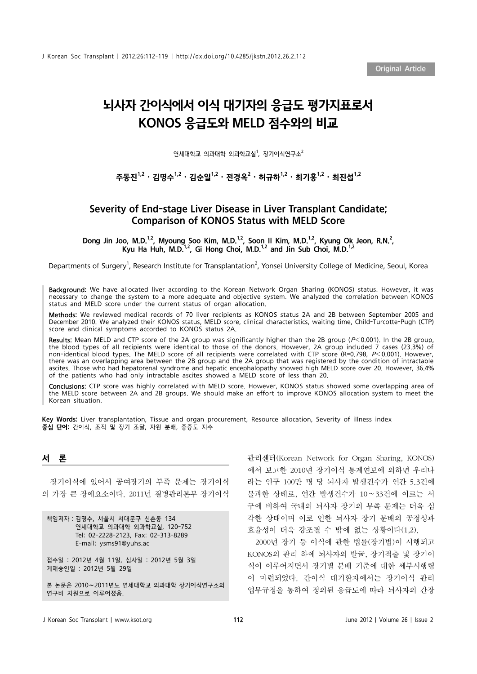# 뇌사자 간이식에서 이식 대기자의 응급도 평가지표로서 KONOS 응급도와 MELD 점수와의 비교

연세대학교 의과대학 외과학교실<sup>1</sup>, 장기이식연구소 $^2$ 

# 주동진 $^{1,2}\cdot$  김명수 $^{1,2}\cdot$  김순일 $^{1,2}\cdot$  전경옥 $^{2}\cdot$  허규하 $^{1,2}\cdot$  최기홍 $^{1,2}\cdot$  최진섭 $^{1,2}$

## Severity of End-stage Liver Disease in Liver Transplant Candidate; Comparison of KONOS Status with MELD Score

Dong Jin Joo, M.D.<sup>1,2</sup>, Myoung Soo Kim, M.D.<sup>1,2</sup>, Soon II Kim, M.D.<sup>1,2</sup>, Kyung Ok Jeon, R.N.<sup>2</sup>, Kyu Ha Huh, M.D.<sup>1,2</sup>, Gi Hong Choi, M.D.<sup>1,2</sup> and Jin Sub Choi, M.D.<sup>1,2</sup>

Departments of Surgery<sup>1</sup>, Research Institute for Transplantation<sup>2</sup>, Yonsei University College of Medicine, Seoul, Korea

Background: We have allocated liver according to the Korean Network Organ Sharing (KONOS) status. However, it was necessary to change the system to a more adequate and objective system. We analyzed the correlation between KONOS status and MELD score under the current status of organ allocation.

Methods: We reviewed medical records of 70 liver recipients as KONOS status 2A and 2B between September 2005 and December 2010. We analyzed their KONOS status, MELD score, clinical characteristics, waiting time, Child-Turcotte-Pugh (CTP) score and clinical symptoms accorded to KONOS status 2A.

Results: Mean MELD and CTP score of the 2A group was significantly higher than the 2B group ( $P<0.001$ ). In the 2B group, the blood types of all recipients were identical to those of the donors. However, 2A group included 7 cases (23.3%) of non-identical blood types. The MELD score of all recipients were correlated with CTP score (R=0.798, P<0.001). However, there was an overlapping area between the 2B group and the 2A group that was registered by the condition of intractable ascites. Those who had hepatorenal syndrome and hepatic encephalopathy showed high MELD score over 20. However, 36.4% of the patients who had only intractable ascites showed a MELD score of less than 20.

Conclusions: CTP score was highly correlated with MELD score. However, KONOS status showed some overlapping area of the MELD score between 2A and 2B groups. We should make an effort to improve KONOS allocation system to meet the Korean situation.

Key Words: Liver transplantation, Tissue and organ procurement, Resource allocation, Severity of illness index 중심 단어: 간이식, 조직 및 장기 조달, 자원 분배, 중증도 지수

## 서 론

장기이식에 있어서 공여장기의 부족 문제는 장기이식 의 가장 큰 장애요소이다. 2011년 질병관리본부 장기이식

책임저자:김명수, 서울시 서대문구 신촌동 134 연세대학교 의과대학 외과학교실, 120-752 Tel: 02-2228-2123, Fax: 02-313-8289 E-mail: ysms91@yuhs.ac

접수일 : 2012년 4월 11일, 심사일 : 2012년 5월 3일 게재승인일 : 2012년 5월 29일

본 논문은 2010∼2011년도 연세대학교 의과대학 장기이식연구소의 연구비 지원으로 이루어졌음.

관리센터(Korean Network for Organ Sharing, KONOS) 에서 보고한 2010년 장기이식 통계연보에 의하면 우리나 라는 인구 100만 명 당 뇌사자 발생건수가 연간 5.3건에 불과한 상태로, 연간 발생건수가 10∼33건에 이르는 서 구에 비하여 국내의 뇌사자 장기의 부족 문제는 더욱 심 각한 상태이며 이로 인한 뇌사자 장기 분배의 공정성과 효율성이 더욱 강조될 수 밖에 없는 상황이다(1,2).

2000년 장기 등 이식에 관한 법률(장기법)이 시행되고 KONOS의 관리 하에 뇌사자의 발굴, 장기적출 및 장기이 식이 이루어지면서 장기별 분배 기준에 대한 세부시행령 이 마련되었다. 간이식 대기환자에서는 장기이식 관리 업무규정을 통하여 정의된 응급도에 따라 뇌사자의 간장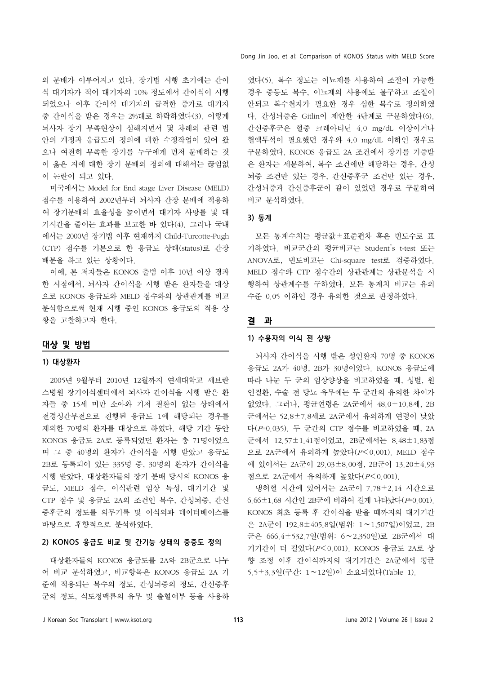의 분배가 이루어지고 있다. 장기법 시행 초기에는 간이 식 대기자가 적어 대기자의 10% 정도에서 간이식이 시행 되었으나 이후 간이식 대기자의 급격한 증가로 대기자 중 간이식을 받은 경우는 2%대로 하락하였다(3). 이렇게 뇌사자 장기 부족현상이 심해지면서 몇 차례의 관련 법 안의 개정과 응급도의 정의에 대한 수정작업이 있어 왔 으나 여전히 부족한 장기를 누구에게 먼저 분배하는 것 이 옳은 지에 대한 장기 분배의 정의에 대해서는 끊임없 이 논란이 되고 있다.

미국에서는 Model for End stage Liver Disease (MELD) 점수를 이용하여 2002년부터 뇌사자 간장 분배에 적용하 여 장기분배의 효율성을 높이면서 대기자 사망률 및 대 기시간을 줄이는 효과를 보고한 바 있다(4). 그러나 국내 에서는 2000년 장기법 이후 현재까지 Child-Turcotte-Pugh (CTP) 점수를 기본으로 한 응급도 상태(status)로 간장 배분을 하고 있는 상황이다.

이에, 본 저자들은 KONOS 출범 이후 10년 이상 경과 한 시점에서, 뇌사자 간이식을 시행 받은 환자들을 대상 으로 KONOS 응급도와 MELD 점수와의 상관관계를 비교 분석함으로써 현재 시행 중인 KONOS 응급도의 적용 상 황을 고찰하고자 한다.

## 대상 및 방법

## 1) 대상환자

2005년 9월부터 2010년 12월까지 연세대학교 세브란 스병원 장기이식센터에서 뇌사자 간이식을 시행 받은 환 자들 중 15세 미만 소아와 기저 질환이 없는 상태에서 전경성간부전으로 진행된 응급도 1에 해당되는 경우를 제외한 70명의 환자를 대상으로 하였다. 해당 기간 동안 KONOS 응급도 2A로 등록되었던 환자는 총 71명이었으 며 그 중 40명의 환자가 간이식을 시행 받았고 응급도 2B로 등록되어 있는 335명 중, 30명의 환자가 간이식을 시행 받았다. 대상환자들의 장기 분배 당시의 KONOS 응 급도, MELD 점수, 이식관련 임상 특성, 대기기간 및 CTP 점수 및 응급도 2A의 조건인 복수, 간성뇌증, 간신 증후군의 정도를 의무기록 및 이식외과 데이터베이스를 바탕으로 후향적으로 분석하였다.

## 2) KONOS 응급도 비교 및 간기능 상태의 중증도 정의

대상환자들의 KONOS 응급도를 2A와 2B군으로 나누 어 비교 분석하였고, 비교항목은 KONOS 응급도 2A 기 준에 적용되는 복수의 정도, 간성뇌증의 정도, 간신증후 군의 정도, 식도정맥류의 유무 및 출혈여부 등을 사용하

였다(5). 복수 정도는 이뇨제를 사용하여 조절이 가능한 경우 중등도 복수, 이뇨제의 사용에도 불구하고 조절이 안되고 복수천자가 필요한 경우 심한 복수로 정의하였 다. 간성뇌증은 Gitlin이 제안한 4단계로 구분하였다(6). 간신증후군은 혈중 크레아티닌 4.0 mg/dL 이상이거나 혈액투석이 필요했던 경우와 4.0 mg/dL 이하인 경우로 구분하였다. KONOS 응급도 2A 조건에서 장기를 기증받 은 환자는 세분하여, 복수 조건에만 해당하는 경우, 간성 뇌증 조건만 있는 경우, 간신증후군 조건만 있는 경우, 간성뇌증과 간신증후군이 같이 있었던 경우로 구분하여 비교 분석하였다.

#### 3) 통계

모든 통계수치는 평균값±표준편차 혹은 빈도수로 표 기하였다. 비교군간의 평균비교는 Student's t-test 또는 ANOVA로, 빈도비교는 Chi-square test로 검증하였다. MELD 점수와 CTP 점수간의 상관관계는 상관분석을 시 행하여 상관계수를 구하였다. 모든 통계치 비교는 유의 수준 0.05 이하인 경우 유의한 것으로 판정하였다.

#### 결 과

## 1) 수용자의 이식 전 상황

뇌사자 간이식을 시행 받은 성인환자 70명 중 KONOS 응급도 2A가 40명, 2B가 30명이었다. KONOS 응급도에 따라 나눈 두 군의 임상양상을 비교하였을 때, 성별, 원 인질환, 수술 전 당뇨 유무에는 두 군간의 유의한 차이가 없었다. 그러나, 평균연령은 2A군에서 48.0±10.8세, 2B 군에서는 52.8±7.8세로 2A군에서 유의하게 연령이 낮았 다(P=0.035). 두 군간의 CTP 점수를 비교하였을 때, 2A 군에서 12.57±1.41점이었고, 2B군에서는 8.48±1.83점 으로 2A군에서 유의하게 높았다(P<0.001). MELD 점수 에 있어서는 2A군이 29.03±8.00점, 2B군이 13.20±4.93 점으로 2A군에서 유의하게 높았다(P<0.001).

냉허혈 시간에 있어서는 2A군이 7.78±2.14 시간으로 6.66±1.68 시간인 2B군에 비하여 길게 나타났다(P=0.001). KONOS 최초 등록 후 간이식을 받을 때까지의 대기기간 은 2A군이 192.8±405.8일(범위: 1∼1,507일)이었고, 2B 군은 666.4±532.7일(범위: 6∼2,350일)로 2B군에서 대 기기간이 더 길었다(P<0.001). KONOS 응급도 2A로 상 향 조정 이후 간이식까지의 대기기간은 2A군에서 평균 5.5±3.3일(구간: 1∼12일)이 소요되었다(Table 1).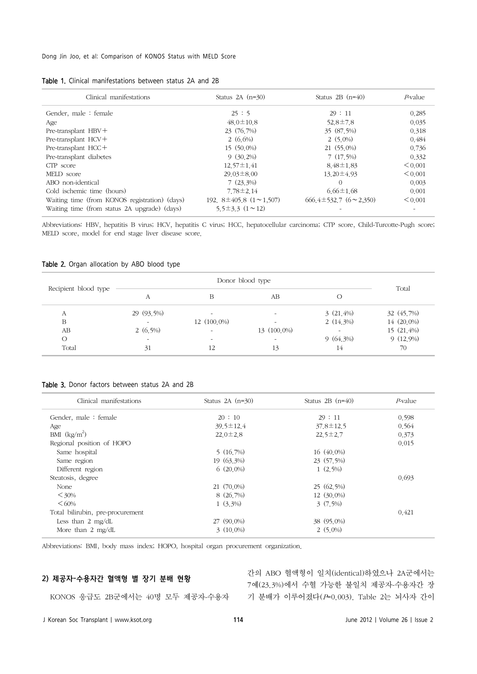#### Dong Jin Joo, et al: Comparison of KONOS Status with MELD Score

| Clinical manifestations                       | Status $2A$ $(n=30)$                  | Status $2B(n=40)$                  | $P$ -value   |
|-----------------------------------------------|---------------------------------------|------------------------------------|--------------|
| Gender, male: female                          | 25:5                                  | 29:11                              | 0.285        |
| Age                                           | $48.0 \pm 10.8$                       | $52.8 \pm 7.8$                     | 0.035        |
| Pre-transplant $HBV +$                        | 23 (76.7%)                            | 35 (87.5%)                         | 0.318        |
| Pre-transplant $HCV +$                        | 2 $(6.6\%)$                           | $2(5.0\%)$                         | 0.484        |
| Pre-transplant $HCC+$                         | 15 (50,0%)                            | $21(55.0\%)$                       | 0.736        |
| Pre-transplant diabetes                       | $9(30.2\%)$                           | 7(17.5%)                           | 0.332        |
| CTP score                                     | $12.57 \pm 1.41$                      | $8.48 \pm 1.83$                    | $\leq 0.001$ |
| MELD score                                    | $29.03 \pm 8.00$                      | $13.20 \pm 4.93$                   | < 0.001      |
| ABO non-identical                             | $7(23.3\%)$                           | $\Omega$                           | 0.003        |
| Cold ischemic time (hours)                    | $7.78 \pm 2.14$                       | $6.66 \pm 1.68$                    | 0.001        |
| Waiting time (from KONOS registration) (days) | 192, $8\pm 405.8$ $(1 \approx 1.507)$ | $666.4 \pm 532.7$ $(6 \sim 2,350)$ | $\leq 0.001$ |
| Waiting time (from status 2A upgrade) (days)  | $5.5\pm3.3(1 \sim 12)$                |                                    |              |

Abbreviations: HBV, hepatitis B virus; HCV, hepatitis C virus; HCC, hepatocellular carcinoma; CTP score, Child-Turcotte-Pugh score; MELD score, model for end stage liver disease score.

#### Table 2. Organ allocation by ABO blood type

| Recipient blood type |                          |                          |                              |              |              |
|----------------------|--------------------------|--------------------------|------------------------------|--------------|--------------|
|                      | А                        | В                        | АB                           | O            | Total        |
| А                    | 29 (93.5%)               | $\overline{\phantom{0}}$ | $\qquad \qquad \blacksquare$ | $3(21,4\%)$  | 32 (45.7%)   |
| B                    |                          | $12(100,0\%)$            |                              | 2 $(14.3\%)$ | 14 (20,0%)   |
| АB                   | 2 $(6,5\%)$              | $\sim$                   | 13 (100,0%)                  | $\sim$       | $15(21,4\%)$ |
| $\circ$              | $\overline{\phantom{0}}$ | $\overline{\phantom{a}}$ | $\overline{\phantom{a}}$     | $9(64,3\%)$  | $9(12,9\%)$  |
| Total                | 31                       | 12                       | 13                           | 14           | 70           |

#### Table 3. Donor factors between status 2A and 2B

| Clinical manifestations          | Status $2A$ (n=30) | Status $2B(n=40)$ | $P$ -value |
|----------------------------------|--------------------|-------------------|------------|
| Gender, male: female             | 20:10              | 29:11             | 0.598      |
| Age                              | $39.5 \pm 12.4$    | $37.8 \pm 12.5$   | 0.564      |
| BMI $(kg/m^2)$                   | $22.0 \pm 2.8$     | $22.5 \pm 2.7$    | 0.373      |
| Regional position of HOPO        |                    |                   | 0.015      |
| Same hospital                    | 5(16.7%)           | 16 (40,0%)        |            |
| Same region                      | 19 (63.3%)         | 23 (57.5%)        |            |
| Different region                 | $6(20.0\%)$        | $1(2,5\%)$        |            |
| Steatosis, degree                |                    |                   | 0.693      |
| None                             | $21(70.0\%)$       | 25(62.5%)         |            |
| $<30\%$                          | 8 (26,7%)          | $12(30,0\%)$      |            |
| <60%                             | $1(3.3\%)$         | $3(7.5\%)$        |            |
| Total bilirubin, pre-procurement |                    |                   | 0.421      |
| Less than $2 \text{ mg/dL}$      | $27(90,0\%)$       | 38 (95,0%)        |            |
| More than $2 \text{ mg/dL}$      | $3(10,0\%)$        | $2(5.0\%)$        |            |

Abbreviations: BMI, body mass index; HOPO, hospital organ procurement organization.

## 2) 제공자-수용자간 혈액형 별 장기 분배 현황

KONOS 응급도 2B군에서는 40명 모두 제공자-수용자 기 분배가 이루어졌다(P=0.003). Table 2는 뇌사자 간이간의 ABO 혈액형이 일치(identical)하였으나 2A군에서는 7예(23.3%)에서 수혈 가능한 불일치 제공자-수용자간 장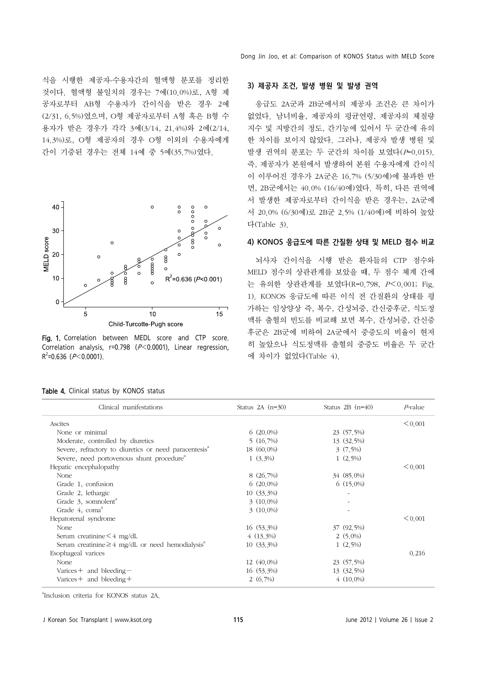식을 시행한 제공자-수용자간의 혈액형 분포를 정리한 것이다. 혈액형 불일치의 경우는 7예(10.0%)로, A형 제 공자로부터 AB형 수용자가 간이식을 받은 경우 2예 (2/31, 6.5%)였으며, O형 제공자로부터 A형 혹은 B형 수 용자가 받은 경우가 각각 3예(3/14, 21.4%)와 2예(2/14, 14.3%)로, O형 제공자의 경우 O형 이외의 수용자에게 간이 기증된 경우는 전체 14예 중 5예(35.7%)였다.



Fig. 1. Correlation between MEDL score and CTP score. Correlation analysis, r=0.798 (P<0.0001), Linear regression,  $R^2$ =0.636 ( $P$  < 0.0001).

| < 0.001<br>23 (57.5%)<br>13 (32.5%)<br>$3(7.5\%)$<br>$1(2,5\%)$ |
|-----------------------------------------------------------------|
|                                                                 |
|                                                                 |
|                                                                 |
|                                                                 |
|                                                                 |
| < 0.001                                                         |
| 34 (85,0%)                                                      |
| $6(15,0\%)$                                                     |
|                                                                 |
|                                                                 |
|                                                                 |
| < 0.001                                                         |
| 37 (92.5%)                                                      |
| $2(5.0\%)$                                                      |
| $1(2,5\%)$                                                      |
|                                                                 |

Table 4. Cli

Esophageal varices None

a Inclusion criteria for KONOS status 2A.

 Varices+ and bleeding− Varices + and bleeding +

J Korean Soc Transplant | www.ksot.org 115 115 115 June 2012 | Volume 26 | Issue 2

12 (40.0%) 16 (53.3%) 2 (6.7%)

## 3) 제공자 조건, 발생 병원 및 발생 권역

응급도 2A군과 2B군에서의 제공자 조건은 큰 차이가 없었다. 남녀비율, 제공자의 평균연령, 제공자의 체질량 지수 및 지방간의 정도, 간기능에 있어서 두 군간에 유의 한 차이를 보이지 않았다. 그러나, 제공자 발생 병원 및 발생 권역의 분포는 두 군간의 차이를 보였다(P=0.015). 즉, 제공자가 본원에서 발생하여 본원 수용자에게 간이식 이 이루어진 경우가 2A군은 16.7% (5/30예)에 불과한 반 면, 2B군에서는 40.0% (16/40예)였다. 특히, 다른 권역에 서 발생한 제공자로부터 간이식을 받은 경우는, 2A군에 서 20.0% (6/30예)로 2B군 2.5% (1/40예)에 비하여 높았 다(Table 3).

#### 4) KONOS 응급도에 따른 간질환 상태 및 MELD 점수 비교

뇌사자 간이식을 시행 받은 환자들의 CTP 점수와 MELD 점수의 상관관계를 보았을 때, 두 점수 체계 간에 는 유의한 상관관계를 보였다(R=0.798, P<0.001; Fig. 1). KONOS 응급도에 따른 이식 전 간질환의 상태를 평 가하는 임상양상 즉, 복수, 간성뇌증, 간신증후군, 식도정 맥류 출혈의 빈도를 비교해 보면 복수, 간성뇌증, 간신증 후군은 2B군에 비하여 2A군에서 중증도의 비율이 현저 히 높았으나 식도정맥류 출혈의 중증도 비율은 두 군간 에 차이가 없었다(Table 4).

 $< 0.001$ 

 $< 0.001$ 

 $< 0.001$ 

0.216

23 (57.5%) 13 (32.5%) 4 (10.0%)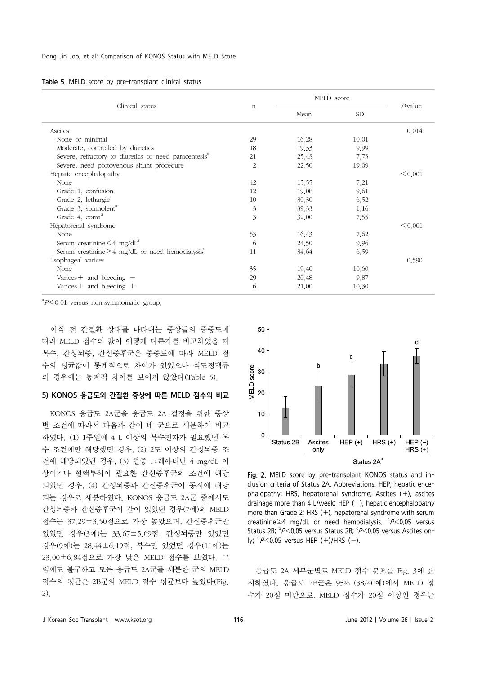|  |  |  |  |  | Table 5. MELD score by pre-transplant clinical status |  |  |
|--|--|--|--|--|-------------------------------------------------------|--|--|
|--|--|--|--|--|-------------------------------------------------------|--|--|

|                                                                   |                           | MELD score |           |                 |  |
|-------------------------------------------------------------------|---------------------------|------------|-----------|-----------------|--|
| Clinical status                                                   | $\mathbf n$               | Mean       | <b>SD</b> | <i>P</i> -value |  |
| Ascites                                                           |                           |            |           | 0.014           |  |
| None or minimal                                                   | 29                        | 16.28      | 10.01     |                 |  |
| Moderate, controlled by diuretics                                 | 18                        | 19.33      | 9.99      |                 |  |
| Severe, refractory to diuretics or need paracentesis <sup>a</sup> | 21                        | 25.43      | 7.73      |                 |  |
| Severe, need portovenous shunt procedure                          | 2                         | 22.50      | 19.09     |                 |  |
| Hepatic encephalopathy                                            |                           |            |           | < 0.001         |  |
| None                                                              | 42                        | 15.55      | 7.21      |                 |  |
| Grade 1, confusion                                                | 12                        | 19.08      | 9.61      |                 |  |
| Grade 2, lethargic <sup>a</sup>                                   | 10                        | 30.30      | 6.52      |                 |  |
| Grade 3, somnolent <sup>a</sup>                                   | $\mathfrak{Z}$            | 39.33      | 1.16      |                 |  |
| Grade 4, coma <sup>a</sup>                                        | $\overline{\mathfrak{Z}}$ | 32.00      | 7.55      |                 |  |
| Hepatorenal syndrome                                              |                           |            |           | < 0.001         |  |
| None                                                              | 53                        | 16.43      | 7.62      |                 |  |
| Serum creatinine $\leq 4$ mg/dL <sup>a</sup>                      | 6                         | 24.50      | 9.96      |                 |  |
| Serum creatinine $\geq 4$ mg/dL or need hemodialysis <sup>a</sup> | 11                        | 34.64      | 6.59      |                 |  |
| Esophageal varices                                                |                           |            |           | 0.590           |  |
| None                                                              | 35                        | 19.40      | 10.60     |                 |  |
| Varices + and bleeding $-$                                        | 29                        | 20.48      | 9.87      |                 |  |
| Varices + and bleeding $+$                                        | 6                         | 21,00      | 10.30     |                 |  |

 ${}^{a}P<0.01$  versus non-symptomatic group.

이식 전 간질환 상태를 나타내는 증상들의 중증도에 따라 MELD 점수의 값이 어떻게 다른가를 비교하였을 때 복수, 간성뇌증, 간신증후군은 중증도에 따라 MELD 점 수의 평균값이 통계적으로 차이가 있었으나 식도정맥류 의 경우에는 통계적 차이를 보이지 않았다(Table 5).

#### 5) KONOS 응급도와 간질환 증상에 따른 MELD 점수의 비교

KONOS 응급도 2A군을 응급도 2A 결정을 위한 증상 별 조건에 따라서 다음과 같이 네 군으로 세분하여 비교 하였다. (1) 1주일에 4 L 이상의 복수천자가 필요했던 복 수 조건에만 해당했던 경우, (2) 2도 이상의 간성뇌증 조 건에 해당되었던 경우, (3) 혈중 크레아티닌 4 mg/dL 이 상이거나 혈액투석이 필요한 간신증후군의 조건에 해당 되었던 경우, (4) 간성뇌증과 간신증후군이 동시에 해당 되는 경우로 세분하였다. KONOS 응급도 2A군 중에서도 간성뇌증과 간신증후군이 같이 있었던 경우(7예)의 MELD 점수는 37.29±3.50점으로 가장 높았으며, 간신증후군만 있었던 경우(3예)는 33.67±5.69점, 간성뇌증만 있었던 경우(9예)는 28.44±6.19점, 복수만 있었던 경우(11예)는 23.00±6.84점으로 가장 낮은 MELD 점수를 보였다. 그 럼에도 불구하고 모든 응급도 2A군를 세분한 군의 MELD 점수의 평균은 2B군의 MELD 점수 평균보다 높았다(Fig. 2).



Fig. 2. MELD score by pre-transplant KONOS status and inclusion criteria of Status 2A. Abbreviations: HEP, hepatic encephalopathy; HRS, hepatorenal syndrome; Ascites (+), ascites drainage more than 4 L/week; HEP  $(+)$ , hepatic encephalopathy more than Grade 2; HRS  $(+)$ , hepatorenal syndrome with serum creatinine  $\geq$ 4 mg/dL or need hemodialysis.  ${}^{a}P$  < 0.05 versus Status 2B;  $\frac{b}{P}$ <0.05 versus Status 2B;  $\frac{c}{P}$ <0.05 versus Ascites only;  $dP < 0.05$  versus HEP (+)/HRS (-).

응급도 2A 세부군별로 MELD 점수 분포를 Fig. 3에 표 시하였다. 응급도 2B군은 95% (38/40예)에서 MELD 점 수가 20점 미만으로, MELD 점수가 20점 이상인 경우는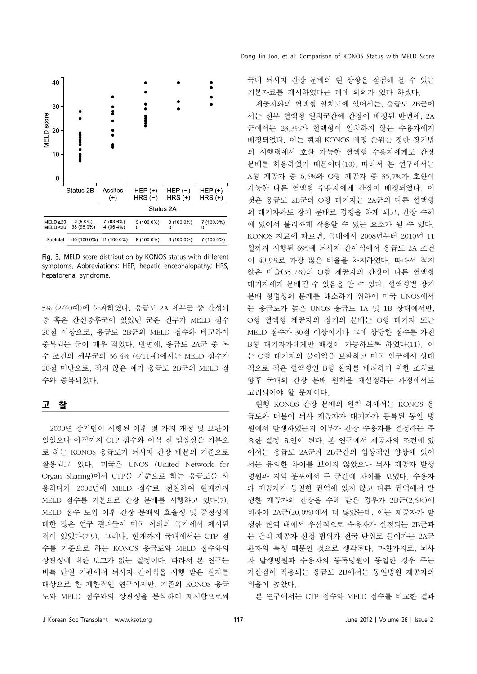

Fig. 3. MELD score distribution by KONOS status with different symptoms. Abbreviations: HEP, hepatic encephalopathy; HRS, hepatorenal syndrome.

5% (2/40예)에 불과하였다. 응급도 2A 세부군 중 간성뇌 증 혹은 간신증후군이 있었던 군은 전부가 MELD 점수 20점 이상으로, 응급도 2B군의 MELD 점수와 비교하여 중복되는 군이 매우 적었다. 반면에, 응급도 2A군 중 복 수 조건의 세부군의 36.4% (4/11예)에서는 MELD 점수가 20점 미만으로, 적지 않은 예가 응급도 2B군의 MELD 점 수와 중복되었다.

#### 고 찰

2000년 장기법이 시행된 이후 몇 가지 개정 및 보완이 있었으나 아직까지 CTP 점수와 이식 전 임상상을 기본으 로 하는 KONOS 응급도가 뇌사자 간장 배분의 기준으로 활용되고 있다. 미국은 UNOS (United Network for Organ Sharing)에서 CTP를 기준으로 하는 응급도를 사 용하다가 2002년에 MELD 점수로 전환하여 현재까지 MELD 점수를 기본으로 간장 분배를 시행하고 있다(7). MELD 점수 도입 이후 간장 분배의 효율성 및 공정성에 대한 많은 연구 결과들이 미국 이외의 국가에서 제시된 적이 있었다(7-9). 그러나, 현재까지 국내에서는 CTP 점 수를 기준으로 하는 KONOS 응급도와 MELD 점수와의 상관성에 대한 보고가 없는 실정이다. 따라서 본 연구는 비록 단일 기관에서 뇌사자 간이식을 시행 받은 환자를 대상으로 한 제한적인 연구이지만, 기존의 KONOS 응급 도와 MELD 점수와의 상관성을 분석하여 제시함으로써

국내 뇌사자 간장 분배의 현 상황을 점검해 볼 수 있는 기본자료를 제시하였다는 데에 의의가 있다 하겠다.

제공자와의 혈액형 일치도에 있어서는, 응급도 2B군에 서는 전부 혈액형 일치군간에 간장이 배정된 반면에, 2A 군에서는 23.3%가 혈액형이 일치하지 않는 수용자에게 배정되었다. 이는 현재 KONOS 배정 순위를 정한 장기법 의 시행령에서 호환 가능한 혈액형 수용자에게도 간장 분배를 허용하였기 때문이다(10). 따라서 본 연구에서는 A형 제공자 중 6.5%와 O형 제공자 중 35.7%가 호환이 가능한 다른 혈액형 수용자에게 간장이 배정되었다. 이 것은 응급도 2B군의 O형 대기자는 2A군의 다른 혈액형 의 대기자와도 장기 분배로 경쟁을 하게 되고, 간장 수혜 에 있어서 불리하게 작용할 수 있는 요소가 될 수 있다. KONOS 자료에 따르면, 국내에서 2008년부터 2010년 11 월까지 시행된 695예 뇌사자 간이식에서 응급도 2A 조건 이 49.9%로 가장 많은 비율을 차지하였다. 따라서 적지 않은 비율(35.7%)의 O형 제공자의 간장이 다른 혈액형 대기자에게 분배될 수 있음을 알 수 있다. 혈액형별 장기 분배 형평성의 문제를 해소하기 위하여 미국 UNOS에서 는 응급도가 높은 UNOS 응급도 1A 및 1B 상태에서만, O형 혈액형 제공자의 장기의 분배는 O형 대기자 또는 MELD 점수가 30점 이상이거나 그에 상당한 점수를 가진 B형 대기자가에게만 배정이 가능하도록 하였다(11). 이 는 O형 대기자의 불이익을 보완하고 미국 인구에서 상대 적으로 적은 혈액형인 B형 환자를 배려하기 위한 조치로 향후 국내의 간장 분배 원칙을 재설정하는 과정에서도 고려되어야 할 문제이다.

현행 KONOS 간장 분배의 원칙 하에서는 KONOS 응 급도와 더불어 뇌사 제공자가 대기자가 등록된 동일 병 원에서 발생하였는지 여부가 간장 수용자를 결정하는 주 요한 결정 요인이 된다. 본 연구에서 제공자의 조건에 있 어서는 응급도 2A군과 2B군간의 임상적인 양상에 있어 서는 유의한 차이를 보이지 않았으나 뇌사 제공자 발생 병원과 지역 분포에서 두 군간에 차이를 보였다. 수용자 와 제공자가 동일한 권역에 있지 않고 다른 권역에서 발 생한 제공자의 간장을 수혜 받은 경우가 2B군(2.5%)에 비하여 2A군(20.0%)에서 더 많았는데, 이는 제공자가 발 생한 권역 내에서 우선적으로 수용자가 선정되는 2B군과 는 달리 제공자 선정 범위가 전국 단위로 들어가는 2A군 환자의 특성 때문인 것으로 생각된다. 마찬가지로, 뇌사 자 발생병원과 수용자의 등록병원이 동일한 경우 주는 가산점이 적용되는 응급도 2B에서는 동일병원 제공자의 비율이 높았다.

본 연구에서는 CTP 점수와 MELD 점수를 비교한 결과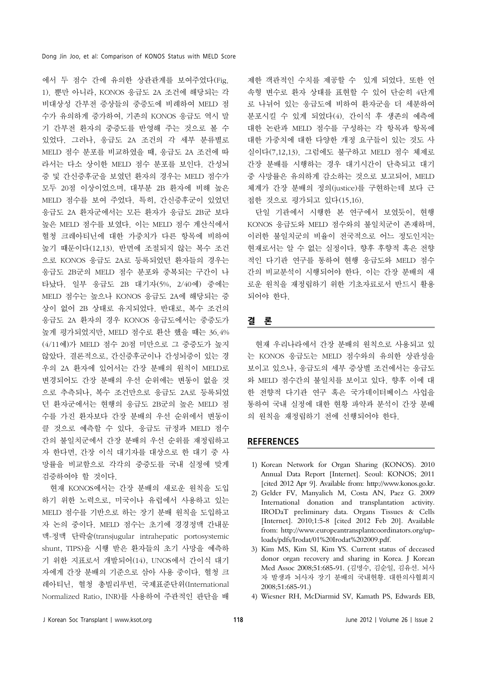에서 두 점수 간에 유의한 상관관계를 보여주었다(Fig. 1). 뿐만 아니라, KONOS 응급도 2A 조건에 해당되는 각 비대상성 간부전 증상들의 중증도에 비례하여 MELD 점 수가 유의하게 증가하여, 기존의 KONOS 응급도 역시 말 기 간부전 환자의 중증도를 반영해 주는 것으로 볼 수 있었다. 그러나, 응급도 2A 조건의 각 세부 분류별로 MELD 점수 분포를 비교하였을 때, 응급도 2A 조건에 따 라서는 다소 상이한 MELD 점수 분포를 보인다. 간성뇌 증 및 간신증후군을 보였던 환자의 경우는 MELD 점수가 모두 20점 이상이었으며, 대부분 2B 환자에 비해 높은 MELD 점수를 보여 주었다. 특히, 간신증후군이 있었던 응급도 2A 환자군에서는 모든 환자가 응급도 2B군 보다 높은 MELD 점수를 보였다. 이는 MELD 점수 계산식에서 혈청 크레아티닌에 대한 가중치가 다른 항목에 비하여 높기 때문이다(12,13). 반면에 조절되지 않는 복수 조건 으로 KONOS 응급도 2A로 등록되었던 환자들의 경우는 응급도 2B군의 MELD 점수 분포와 중복되는 구간이 나 타났다. 일부 응급도 2B 대기자(5%, 2/40예) 중에는 MELD 점수는 높으나 KONOS 응급도 2A에 해당되는 증 상이 없어 2B 상태로 유지되었다. 반대로, 복수 조건의 응급도 2A 환자의 경우 KONOS 응급도에서는 중증도가 높게 평가되었지만, MELD 점수로 환산 했을 때는 36.4% (4/11예)가 MELD 점수 20점 미만으로 그 중증도가 높지 않았다. 결론적으로, 간신증후군이나 간성뇌증이 있는 경 우의 2A 환자에 있어서는 간장 분배의 원칙이 MELD로 변경되어도 간장 분배의 우선 순위에는 변동이 없을 것 으로 추측되나, 복수 조건만으로 응급도 2A로 등록되었 던 환자군에서는 현행의 응급도 2B군의 높은 MELD 점 수를 가진 환자보다 간장 분배의 우선 순위에서 변동이 클 것으로 예측할 수 있다. 응급도 규정과 MELD 점수 간의 불일치군에서 간장 분배의 우선 순위를 재정립하고 자 한다면, 간장 이식 대기자를 대상으로 한 대기 중 사 망률을 비교함으로 각각의 중증도를 국내 실정에 맞게 검증하여야 할 것이다.

현재 KONOS에서는 간장 분배의 새로운 원칙을 도입 하기 위한 노력으로, 미국이나 유럽에서 사용하고 있는 MELD 점수를 기반으로 하는 장기 분배 원칙을 도입하고 자 논의 중이다. MELD 점수는 초기에 경경정맥 간내문 맥-정맥 단락술(transjugular intrahepatic portosystemic shunt, TIPS)을 시행 받은 환자들의 초기 사망을 예측하 기 위한 지표로서 개발되어(14), UNOS에서 간이식 대기 자에게 간장 분배의 기준으로 삼아 사용 중이다. 혈청 크 레아티닌, 혈청 총빌리루빈, 국제표준단위(International Normalized Ratio, INR)를 사용하여 주관적인 판단을 배

제한 객관적인 수치를 제공할 수 있게 되었다. 또한 연 속형 변수로 환자 상태를 표현할 수 있어 단순히 4단계 로 나뉘어 있는 응급도에 비하여 환자군을 더 세분하여 분포시킬 수 있게 되었다(4). 간이식 후 생존의 예측에 대한 논란과 MELD 점수를 구성하는 각 항목과 항목에 대한 가중치에 대한 다양한 개정 요구들이 있는 것도 사 실이다(7,12,13). 그럼에도 불구하고 MELD 점수 체제로 간장 분배를 시행하는 경우 대기시간이 단축되고 대기 중 사망률은 유의하게 감소하는 것으로 보고되어, MELD 체계가 간장 분배의 정의(justice)를 구현하는데 보다 근 접한 것으로 평가되고 있다(15,16).

단일 기관에서 시행한 본 연구에서 보였듯이, 현행 KONOS 응급도와 MELD 점수와의 불일치군이 존재하며, 이러한 불일치군의 비율이 전국적으로 어느 정도인지는 현재로서는 알 수 없는 실정이다. 향후 후향적 혹은 전향 적인 다기관 연구를 통하여 현행 응급도와 MELD 점수 간의 비교분석이 시행되어야 한다. 이는 간장 분배의 새 로운 원칙을 재정립하기 위한 기초자료로서 반드시 활용 되어야 한다.

#### 결 론

현재 우리나라에서 간장 분배의 원칙으로 사용되고 있 는 KONOS 응급도는 MELD 점수와의 유의한 상관성을 보이고 있으나, 응급도의 세부 증상별 조건에서는 응급도 와 MELD 점수간의 불일치를 보이고 있다. 향후 이에 대 한 전향적 다기관 연구 혹은 국가데이터베이스 사업을 통하여 국내 실정에 대한 현황 파악과 분석이 간장 분배 의 원칙을 재정립하기 전에 선행되어야 한다.

### **REFERENCES**

- 1) Korean Network for Organ Sharing (KONOS). 2010 Annual Data Report [Internet]. Seoul: KONOS; 2011 [cited 2012 Apr 9]. Available from: http://www.konos.go.kr.
- 2) Gelder FV, Manyalich M, Costa AN, Paez G. 2009 International donation and transplantation activity. IRODaT preliminary data. Organs Tissues & Cells [Internet]. 2010;1:5-8 [cited 2012 Feb 20]. Available from: http://www.europeantransplantcoordinators.org/uploads/pdfs/Irodat/01%20Irodat%202009.pdf.
- 3) Kim MS, Kim SI, Kim YS. Current status of deceased donor organ recovery and sharing in Korea. J Korean Med Assoc 2008;51:685-91. (김명수, 김순일, 김유선. 뇌사 자 발생과 뇌사자 장기 분배의 국내현황. 대한의사협회지 2008;51:685-91.)
- 4) Wiesner RH, McDiarmid SV, Kamath PS, Edwards EB,